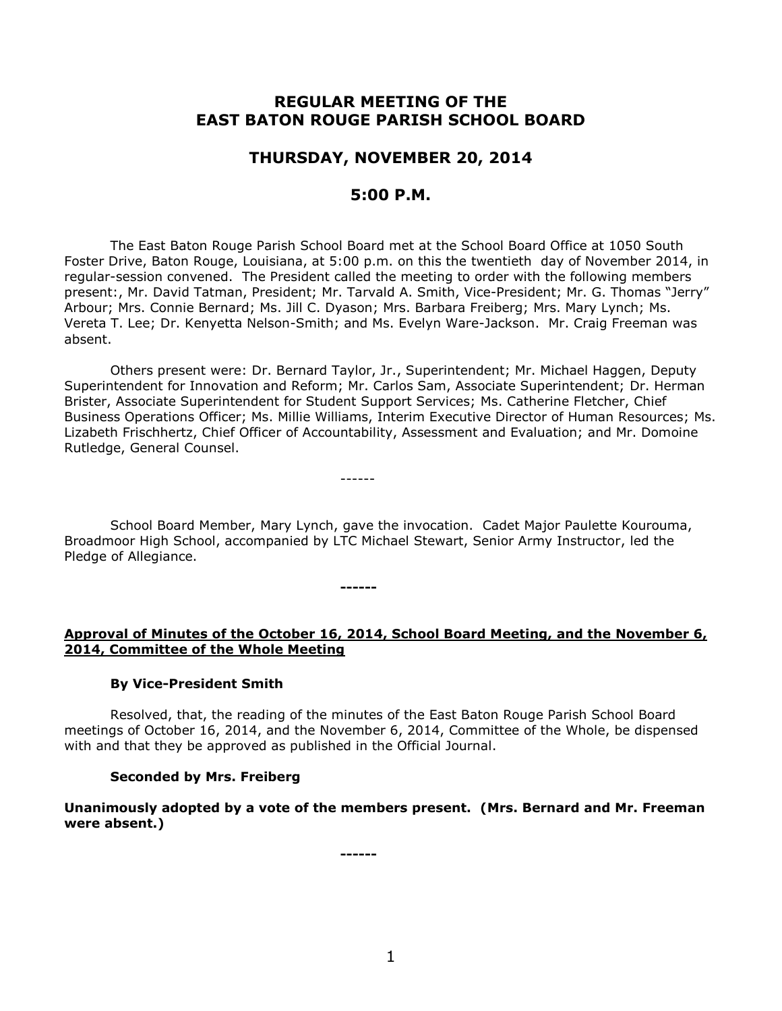# **REGULAR MEETING OF THE EAST BATON ROUGE PARISH SCHOOL BOARD**

## **THURSDAY, NOVEMBER 20, 2014**

## **5:00 P.M.**

The East Baton Rouge Parish School Board met at the School Board Office at 1050 South Foster Drive, Baton Rouge, Louisiana, at 5:00 p.m. on this the twentieth day of November 2014, in regular-session convened. The President called the meeting to order with the following members present:, Mr. David Tatman, President; Mr. Tarvald A. Smith, Vice-President; Mr. G. Thomas "Jerry" Arbour; Mrs. Connie Bernard; Ms. Jill C. Dyason; Mrs. Barbara Freiberg; Mrs. Mary Lynch; Ms. Vereta T. Lee; Dr. Kenyetta Nelson-Smith; and Ms. Evelyn Ware-Jackson. Mr. Craig Freeman was absent.

Others present were: Dr. Bernard Taylor, Jr., Superintendent; Mr. Michael Haggen, Deputy Superintendent for Innovation and Reform; Mr. Carlos Sam, Associate Superintendent; Dr. Herman Brister, Associate Superintendent for Student Support Services; Ms. Catherine Fletcher, Chief Business Operations Officer; Ms. Millie Williams, Interim Executive Director of Human Resources; Ms. Lizabeth Frischhertz, Chief Officer of Accountability, Assessment and Evaluation; and Mr. Domoine Rutledge, General Counsel.

------

**------**

School Board Member, Mary Lynch, gave the invocation. Cadet Major Paulette Kourouma, Broadmoor High School, accompanied by LTC Michael Stewart, Senior Army Instructor, led the Pledge of Allegiance.

## **Approval of Minutes of the October 16, 2014, School Board Meeting, and the November 6, 2014, Committee of the Whole Meeting**

### **By Vice-President Smith**

Resolved, that, the reading of the minutes of the East Baton Rouge Parish School Board meetings of October 16, 2014, and the November 6, 2014, Committee of the Whole, be dispensed with and that they be approved as published in the Official Journal.

### **Seconded by Mrs. Freiberg**

**Unanimously adopted by a vote of the members present. (Mrs. Bernard and Mr. Freeman were absent.)**

**------**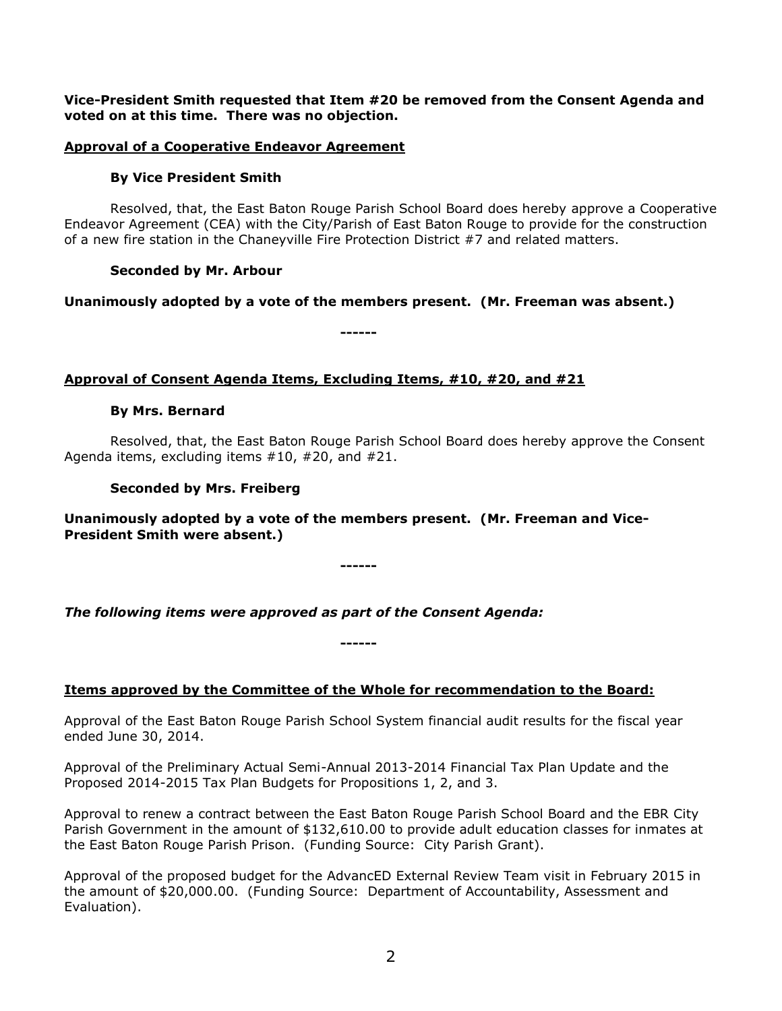**Vice-President Smith requested that Item #20 be removed from the Consent Agenda and voted on at this time. There was no objection.**

## **Approval of a Cooperative Endeavor Agreement**

### **By Vice President Smith**

Resolved, that, the East Baton Rouge Parish School Board does hereby approve a Cooperative Endeavor Agreement (CEA) with the City/Parish of East Baton Rouge to provide for the construction of a new fire station in the Chaneyville Fire Protection District #7 and related matters.

## **Seconded by Mr. Arbour**

**Unanimously adopted by a vote of the members present. (Mr. Freeman was absent.)**

**------**

## **Approval of Consent Agenda Items, Excluding Items, #10, #20, and #21**

### **By Mrs. Bernard**

Resolved, that, the East Baton Rouge Parish School Board does hereby approve the Consent Agenda items, excluding items #10, #20, and #21.

### **Seconded by Mrs. Freiberg**

**Unanimously adopted by a vote of the members present. (Mr. Freeman and Vice-President Smith were absent.)**

**------**

*The following items were approved as part of the Consent Agenda:*

**Items approved by the Committee of the Whole for recommendation to the Board:** 

**------**

Approval of the East Baton Rouge Parish School System financial audit results for the fiscal year ended June 30, 2014.

Approval of the Preliminary Actual Semi-Annual 2013-2014 Financial Tax Plan Update and the Proposed 2014-2015 Tax Plan Budgets for Propositions 1, 2, and 3.

Approval to renew a contract between the East Baton Rouge Parish School Board and the EBR City Parish Government in the amount of \$132,610.00 to provide adult education classes for inmates at the East Baton Rouge Parish Prison. (Funding Source: City Parish Grant).

Approval of the proposed budget for the AdvancED External Review Team visit in February 2015 in the amount of \$20,000.00. (Funding Source: Department of Accountability, Assessment and Evaluation).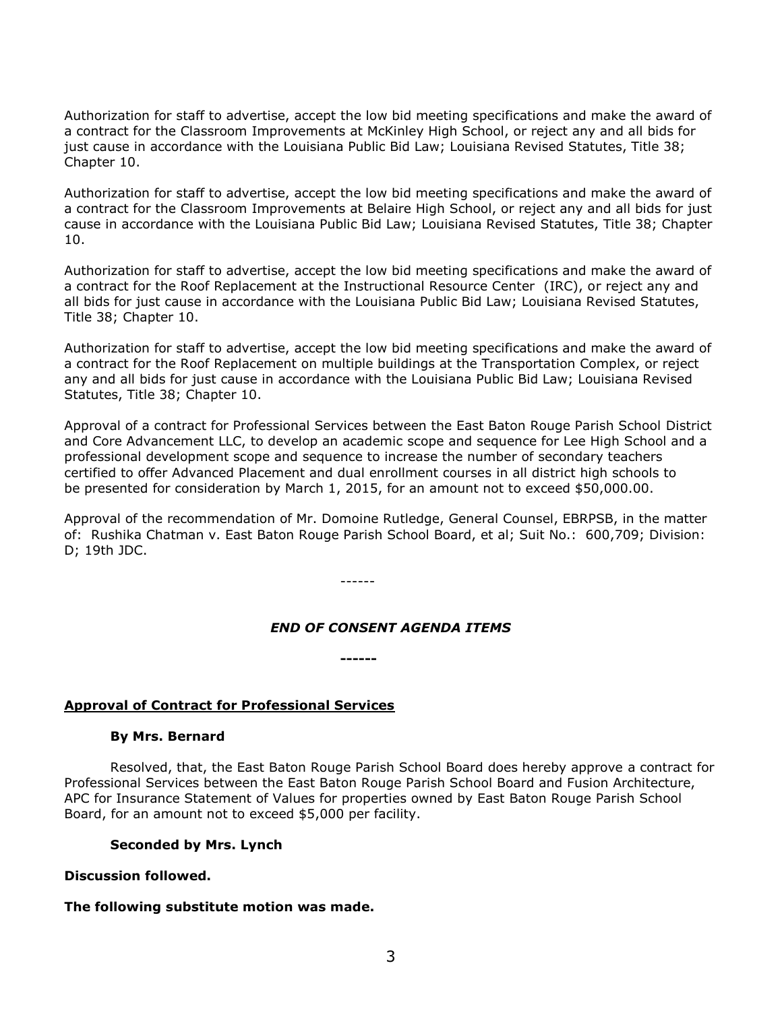Authorization for staff to advertise, accept the low bid meeting specifications and make the award of a contract for the Classroom Improvements at McKinley High School, or reject any and all bids for just cause in accordance with the Louisiana Public Bid Law; Louisiana Revised Statutes, Title 38; Chapter 10.

Authorization for staff to advertise, accept the low bid meeting specifications and make the award of a contract for the Classroom Improvements at Belaire High School, or reject any and all bids for just cause in accordance with the Louisiana Public Bid Law; Louisiana Revised Statutes, Title 38; Chapter 10.

Authorization for staff to advertise, accept the low bid meeting specifications and make the award of a contract for the Roof Replacement at the Instructional Resource Center (IRC), or reject any and all bids for just cause in accordance with the Louisiana Public Bid Law; Louisiana Revised Statutes, Title 38; Chapter 10.

Authorization for staff to advertise, accept the low bid meeting specifications and make the award of a contract for the Roof Replacement on multiple buildings at the Transportation Complex, or reject any and all bids for just cause in accordance with the Louisiana Public Bid Law; Louisiana Revised Statutes, Title 38; Chapter 10.

Approval of a contract for Professional Services between the East Baton Rouge Parish School District and Core Advancement LLC, to develop an academic scope and sequence for Lee High School and a professional development scope and sequence to increase the number of secondary teachers certified to offer Advanced Placement and dual enrollment courses in all district high schools to be presented for consideration by March 1, 2015, for an amount not to exceed \$50,000.00.

Approval of the recommendation of Mr. Domoine Rutledge, General Counsel, EBRPSB, in the matter of: Rushika Chatman v. East Baton Rouge Parish School Board, et al; Suit No.: 600,709; Division: D; 19th JDC.

------

**------**

### *END OF CONSENT AGENDA ITEMS*

### **Approval of Contract for Professional Services**

#### **By Mrs. Bernard**

Resolved, that, the East Baton Rouge Parish School Board does hereby approve a contract for Professional Services between the East Baton Rouge Parish School Board and Fusion Architecture, APC for Insurance Statement of Values for properties owned by East Baton Rouge Parish School Board, for an amount not to exceed \$5,000 per facility.

#### **Seconded by Mrs. Lynch**

#### **Discussion followed.**

#### **The following substitute motion was made.**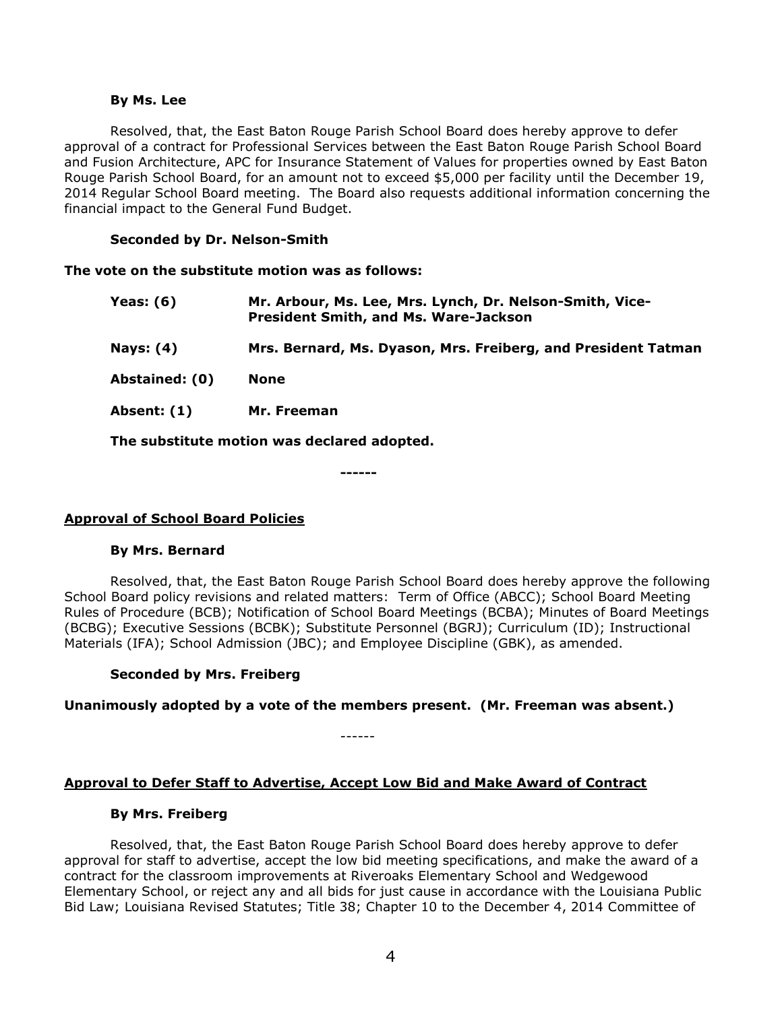#### **By Ms. Lee**

Resolved, that, the East Baton Rouge Parish School Board does hereby approve to defer approval of a contract for Professional Services between the East Baton Rouge Parish School Board and Fusion Architecture, APC for Insurance Statement of Values for properties owned by East Baton Rouge Parish School Board, for an amount not to exceed \$5,000 per facility until the December 19, 2014 Regular School Board meeting. The Board also requests additional information concerning the financial impact to the General Fund Budget.

#### **Seconded by Dr. Nelson-Smith**

**The vote on the substitute motion was as follows:**

| <b>Yeas: (6)</b> | Mr. Arbour, Ms. Lee, Mrs. Lynch, Dr. Nelson-Smith, Vice-<br><b>President Smith, and Ms. Ware-Jackson</b> |
|------------------|----------------------------------------------------------------------------------------------------------|
| <b>Nays: (4)</b> | Mrs. Bernard, Ms. Dyason, Mrs. Freiberg, and President Tatman                                            |
| Abstained: (0)   | <b>None</b>                                                                                              |
| Absent: (1)      | Mr. Freeman                                                                                              |
|                  |                                                                                                          |

**The substitute motion was declared adopted.**

**------**

### **Approval of School Board Policies**

#### **By Mrs. Bernard**

Resolved, that, the East Baton Rouge Parish School Board does hereby approve the following School Board policy revisions and related matters: Term of Office (ABCC); School Board Meeting Rules of Procedure (BCB); Notification of School Board Meetings (BCBA); Minutes of Board Meetings (BCBG); Executive Sessions (BCBK); Substitute Personnel (BGRJ); Curriculum (ID); Instructional Materials (IFA); School Admission (JBC); and Employee Discipline (GBK), as amended.

### **Seconded by Mrs. Freiberg**

**Unanimously adopted by a vote of the members present. (Mr. Freeman was absent.)**

#### **Approval to Defer Staff to Advertise, Accept Low Bid and Make Award of Contract**

------

#### **By Mrs. Freiberg**

Resolved, that, the East Baton Rouge Parish School Board does hereby approve to defer approval for staff to advertise, accept the low bid meeting specifications, and make the award of a contract for the classroom improvements at Riveroaks Elementary School and Wedgewood Elementary School, or reject any and all bids for just cause in accordance with the Louisiana Public Bid Law; Louisiana Revised Statutes; Title 38; Chapter 10 to the December 4, 2014 Committee of